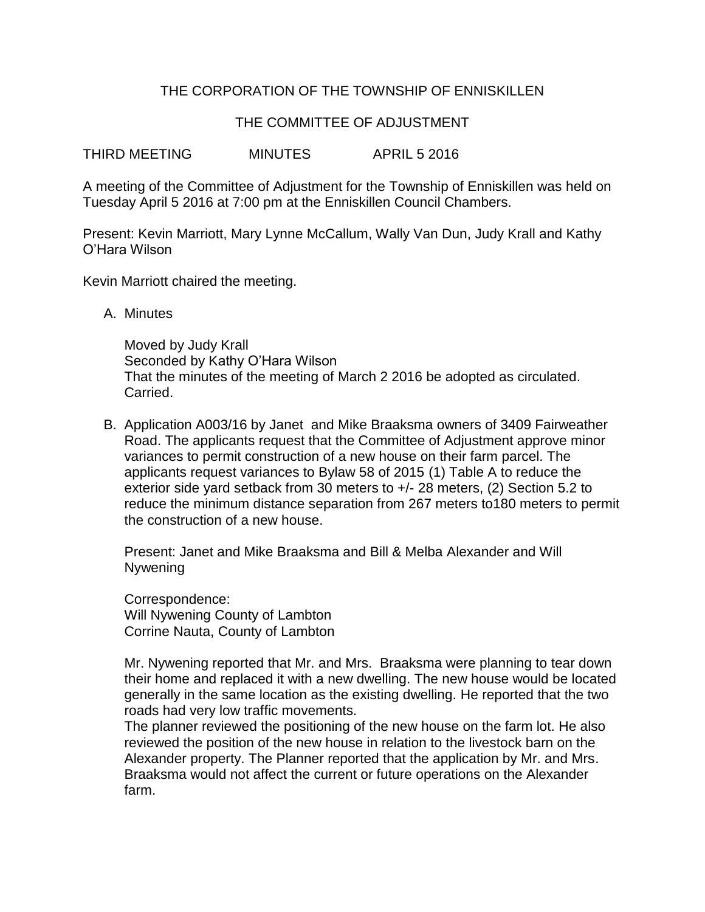## THE CORPORATION OF THE TOWNSHIP OF ENNISKILLEN

## THE COMMITTEE OF ADJUSTMENT

THIRD MEETING MINUTES APRIL 5 2016

A meeting of the Committee of Adjustment for the Township of Enniskillen was held on Tuesday April 5 2016 at 7:00 pm at the Enniskillen Council Chambers.

Present: Kevin Marriott, Mary Lynne McCallum, Wally Van Dun, Judy Krall and Kathy O'Hara Wilson

Kevin Marriott chaired the meeting.

A. Minutes

Moved by Judy Krall Seconded by Kathy O'Hara Wilson That the minutes of the meeting of March 2 2016 be adopted as circulated. Carried.

B. Application A003/16 by Janet and Mike Braaksma owners of 3409 Fairweather Road. The applicants request that the Committee of Adjustment approve minor variances to permit construction of a new house on their farm parcel. The applicants request variances to Bylaw 58 of 2015 (1) Table A to reduce the exterior side yard setback from 30 meters to +/- 28 meters, (2) Section 5.2 to reduce the minimum distance separation from 267 meters to180 meters to permit the construction of a new house.

Present: Janet and Mike Braaksma and Bill & Melba Alexander and Will **Nywening** 

Correspondence: Will Nywening County of Lambton Corrine Nauta, County of Lambton

Mr. Nywening reported that Mr. and Mrs. Braaksma were planning to tear down their home and replaced it with a new dwelling. The new house would be located generally in the same location as the existing dwelling. He reported that the two roads had very low traffic movements.

The planner reviewed the positioning of the new house on the farm lot. He also reviewed the position of the new house in relation to the livestock barn on the Alexander property. The Planner reported that the application by Mr. and Mrs. Braaksma would not affect the current or future operations on the Alexander farm.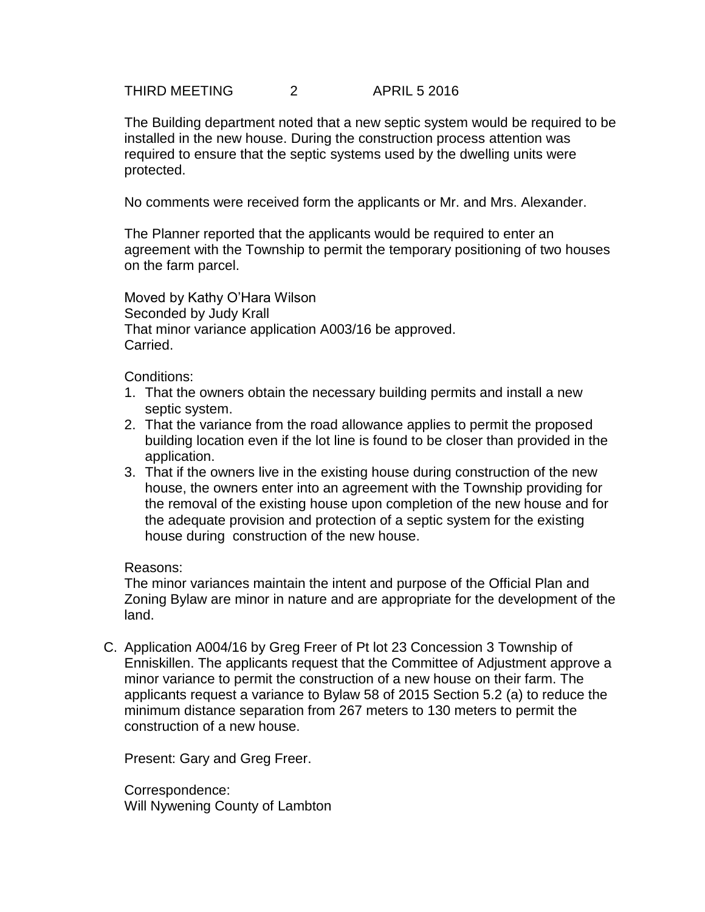THIRD MEETING 2 APRIL 5 2016

The Building department noted that a new septic system would be required to be installed in the new house. During the construction process attention was required to ensure that the septic systems used by the dwelling units were protected.

No comments were received form the applicants or Mr. and Mrs. Alexander.

The Planner reported that the applicants would be required to enter an agreement with the Township to permit the temporary positioning of two houses on the farm parcel.

Moved by Kathy O'Hara Wilson Seconded by Judy Krall That minor variance application A003/16 be approved. Carried.

Conditions:

- 1. That the owners obtain the necessary building permits and install a new septic system.
- 2. That the variance from the road allowance applies to permit the proposed building location even if the lot line is found to be closer than provided in the application.
- 3. That if the owners live in the existing house during construction of the new house, the owners enter into an agreement with the Township providing for the removal of the existing house upon completion of the new house and for the adequate provision and protection of a septic system for the existing house during construction of the new house.

### Reasons:

The minor variances maintain the intent and purpose of the Official Plan and Zoning Bylaw are minor in nature and are appropriate for the development of the land.

C. Application A004/16 by Greg Freer of Pt lot 23 Concession 3 Township of Enniskillen. The applicants request that the Committee of Adjustment approve a minor variance to permit the construction of a new house on their farm. The applicants request a variance to Bylaw 58 of 2015 Section 5.2 (a) to reduce the minimum distance separation from 267 meters to 130 meters to permit the construction of a new house.

Present: Gary and Greg Freer.

Correspondence: Will Nywening County of Lambton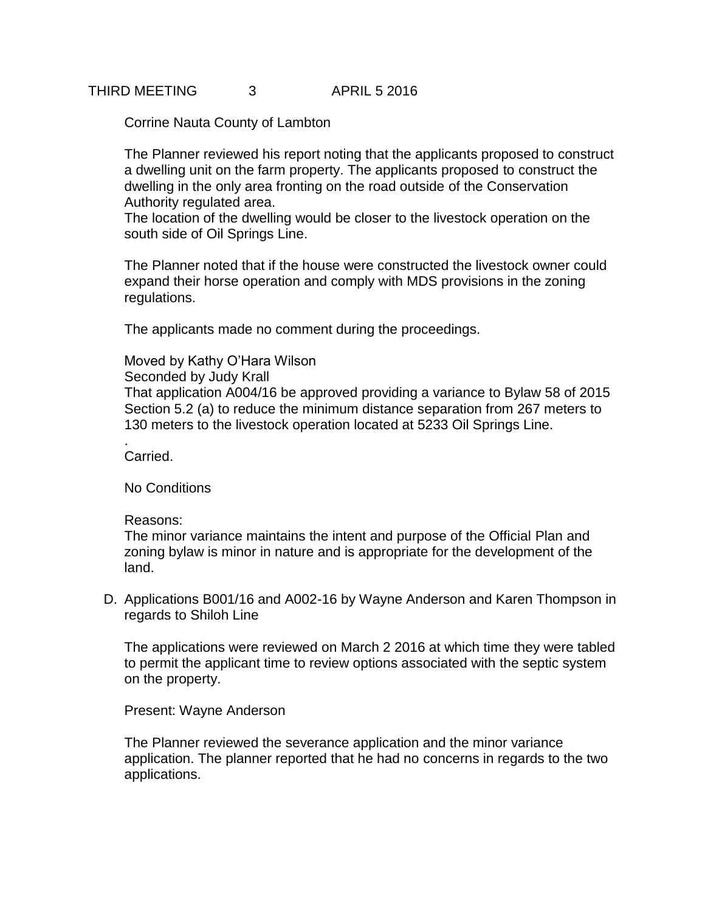# THIRD MEETING 3 APRIL 5 2016

Corrine Nauta County of Lambton

The Planner reviewed his report noting that the applicants proposed to construct a dwelling unit on the farm property. The applicants proposed to construct the dwelling in the only area fronting on the road outside of the Conservation Authority regulated area.

The location of the dwelling would be closer to the livestock operation on the south side of Oil Springs Line.

The Planner noted that if the house were constructed the livestock owner could expand their horse operation and comply with MDS provisions in the zoning regulations.

The applicants made no comment during the proceedings.

### Moved by Kathy O'Hara Wilson

Seconded by Judy Krall

That application A004/16 be approved providing a variance to Bylaw 58 of 2015 Section 5.2 (a) to reduce the minimum distance separation from 267 meters to 130 meters to the livestock operation located at 5233 Oil Springs Line.

Carried.

.

No Conditions

### Reasons:

The minor variance maintains the intent and purpose of the Official Plan and zoning bylaw is minor in nature and is appropriate for the development of the land.

D. Applications B001/16 and A002-16 by Wayne Anderson and Karen Thompson in regards to Shiloh Line

The applications were reviewed on March 2 2016 at which time they were tabled to permit the applicant time to review options associated with the septic system on the property.

Present: Wayne Anderson

The Planner reviewed the severance application and the minor variance application. The planner reported that he had no concerns in regards to the two applications.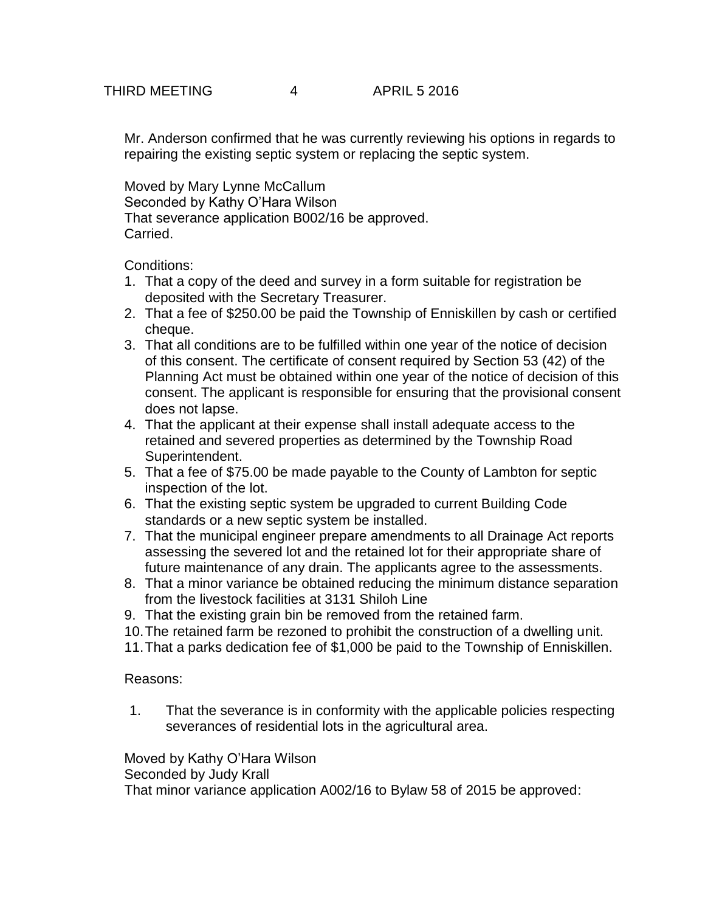Mr. Anderson confirmed that he was currently reviewing his options in regards to repairing the existing septic system or replacing the septic system.

Moved by Mary Lynne McCallum Seconded by Kathy O'Hara Wilson That severance application B002/16 be approved. Carried.

Conditions:

- 1. That a copy of the deed and survey in a form suitable for registration be deposited with the Secretary Treasurer.
- 2. That a fee of \$250.00 be paid the Township of Enniskillen by cash or certified cheque.
- 3. That all conditions are to be fulfilled within one year of the notice of decision of this consent. The certificate of consent required by Section 53 (42) of the Planning Act must be obtained within one year of the notice of decision of this consent. The applicant is responsible for ensuring that the provisional consent does not lapse.
- 4. That the applicant at their expense shall install adequate access to the retained and severed properties as determined by the Township Road Superintendent.
- 5. That a fee of \$75.00 be made payable to the County of Lambton for septic inspection of the lot.
- 6. That the existing septic system be upgraded to current Building Code standards or a new septic system be installed.
- 7. That the municipal engineer prepare amendments to all Drainage Act reports assessing the severed lot and the retained lot for their appropriate share of future maintenance of any drain. The applicants agree to the assessments.
- 8. That a minor variance be obtained reducing the minimum distance separation from the livestock facilities at 3131 Shiloh Line
- 9. That the existing grain bin be removed from the retained farm.
- 10.The retained farm be rezoned to prohibit the construction of a dwelling unit.
- 11.That a parks dedication fee of \$1,000 be paid to the Township of Enniskillen.

Reasons:

1. That the severance is in conformity with the applicable policies respecting severances of residential lots in the agricultural area.

Moved by Kathy O'Hara Wilson Seconded by Judy Krall That minor variance application A002/16 to Bylaw 58 of 2015 be approved: